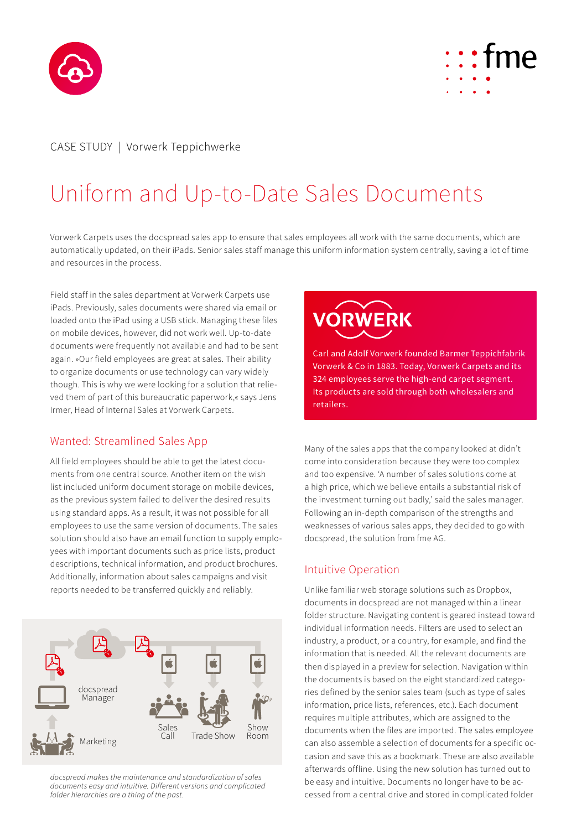



### CASE STUDY | Vorwerk Teppichwerke

# Uniform and Up-to-Date Sales Documents

Vorwerk Carpets uses the docspread sales app to ensure that sales employees all work with the same documents, which are automatically updated, on their iPads. Senior sales staff manage this uniform information system centrally, saving a lot of time and resources in the process.

Field staff in the sales department at Vorwerk Carpets use iPads. Previously, sales documents were shared via email or loaded onto the iPad using a USB stick. Managing these files on mobile devices, however, did not work well. Up-to-date documents were frequently not available and had to be sent again. »Our field employees are great at sales. Their ability to organize documents or use technology can vary widely though. This is why we were looking for a solution that relieved them of part of this bureaucratic paperwork,« says Jens Irmer, Head of Internal Sales at Vorwerk Carpets.

#### Wanted: Streamlined Sales App

All field employees should be able to get the latest documents from one central source. Another item on the wish list included uniform document storage on mobile devices, as the previous system failed to deliver the desired results using standard apps. As a result, it was not possible for all employees to use the same version of documents. The sales solution should also have an email function to supply employees with important documents such as price lists, product descriptions, technical information, and product brochures. Additionally, information about sales campaigns and visit reports needed to be transferred quickly and reliably.



*docspread makes the maintenance and standardization of sales documents easy and intuitive. Different versions and complicated folder hierarchies are a thing of the past.*



Carl and Adolf Vorwerk founded Barmer Teppichfabrik Vorwerk & Co in 1883. Today, Vorwerk Carpets and its 324 employees serve the high-end carpet segment. Its products are sold through both wholesalers and retailers.

Many of the sales apps that the company looked at didn't come into consideration because they were too complex and too expensive. 'A number of sales solutions come at a high price, which we believe entails a substantial risk of the investment turning out badly,' said the sales manager. Following an in-depth comparison of the strengths and weaknesses of various sales apps, they decided to go with docspread, the solution from fme AG.

#### Intuitive Operation

Unlike familiar web storage solutions such as Dropbox, documents in docspread are not managed within a linear folder structure. Navigating content is geared instead toward individual information needs. Filters are used to select an industry, a product, or a country, for example, and find the information that is needed. All the relevant documents are then displayed in a preview for selection. Navigation within the documents is based on the eight standardized categories defined by the senior sales team (such as type of sales information, price lists, references, etc.). Each document requires multiple attributes, which are assigned to the documents when the files are imported. The sales employee can also assemble a selection of documents for a specific occasion and save this as a bookmark. These are also available afterwards offline. Using the new solution has turned out to be easy and intuitive. Documents no longer have to be accessed from a central drive and stored in complicated folder